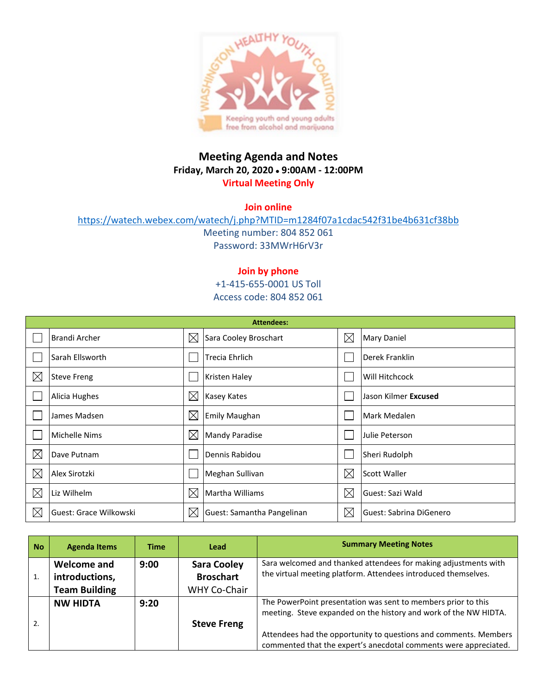

## **Meeting Agenda and Notes Friday, March 20, 2020** • **9:00AM - 12:00PM Virtual Meeting Only**

**Join online**

<https://watech.webex.com/watech/j.php?MTID=m1284f07a1cdac542f31be4b631cf38bb> Meeting number: 804 852 061

Password: 33MWrH6rV3r

## **Join by phone**

+1-415-655-0001 US Toll Access code: 804 852 061

| <b>Attendees:</b> |                        |             |                            |             |                         |  |  |
|-------------------|------------------------|-------------|----------------------------|-------------|-------------------------|--|--|
|                   | <b>Brandi Archer</b>   | $\boxtimes$ | Sara Cooley Broschart      | $\boxtimes$ | <b>Mary Daniel</b>      |  |  |
|                   | Sarah Ellsworth        |             | Trecia Ehrlich             |             | Derek Franklin          |  |  |
| $\boxtimes$       | <b>Steve Freng</b>     |             | <b>Kristen Haley</b>       |             | Will Hitchcock          |  |  |
|                   | Alicia Hughes          | $\times$    | <b>Kasey Kates</b>         |             | Jason Kilmer Excused    |  |  |
|                   | James Madsen           | $\boxtimes$ | <b>Emily Maughan</b>       |             | Mark Medalen            |  |  |
|                   | Michelle Nims          | $\times$    | <b>Mandy Paradise</b>      |             | Julie Peterson          |  |  |
| $\boxtimes$       | Dave Putnam            |             | Dennis Rabidou             |             | Sheri Rudolph           |  |  |
| $\times$          | Alex Sirotzki          |             | Meghan Sullivan            | $\boxtimes$ | <b>Scott Waller</b>     |  |  |
| $\boxtimes$       | Liz Wilhelm            | $\boxtimes$ | Martha Williams            | $\boxtimes$ | Guest: Sazi Wald        |  |  |
| $\boxtimes$       | Guest: Grace Wilkowski | $\boxtimes$ | Guest: Samantha Pangelinan | $\boxtimes$ | Guest: Sabrina DiGenero |  |  |

| <b>No</b> | <b>Agenda Items</b>           | <b>Time</b> | Lead                                   | <b>Summary Meeting Notes</b>                                                                                                         |
|-----------|-------------------------------|-------------|----------------------------------------|--------------------------------------------------------------------------------------------------------------------------------------|
|           | Welcome and<br>introductions, | 9:00        | <b>Sara Cooley</b><br><b>Broschart</b> | Sara welcomed and thanked attendees for making adjustments with<br>the virtual meeting platform. Attendees introduced themselves.    |
|           | <b>Team Building</b>          |             | WHY Co-Chair                           |                                                                                                                                      |
|           | <b>NW HIDTA</b>               | 9:20        |                                        | The PowerPoint presentation was sent to members prior to this<br>meeting. Steve expanded on the history and work of the NW HIDTA.    |
| 2.        |                               |             | <b>Steve Freng</b>                     | Attendees had the opportunity to questions and comments. Members<br>commented that the expert's anecdotal comments were appreciated. |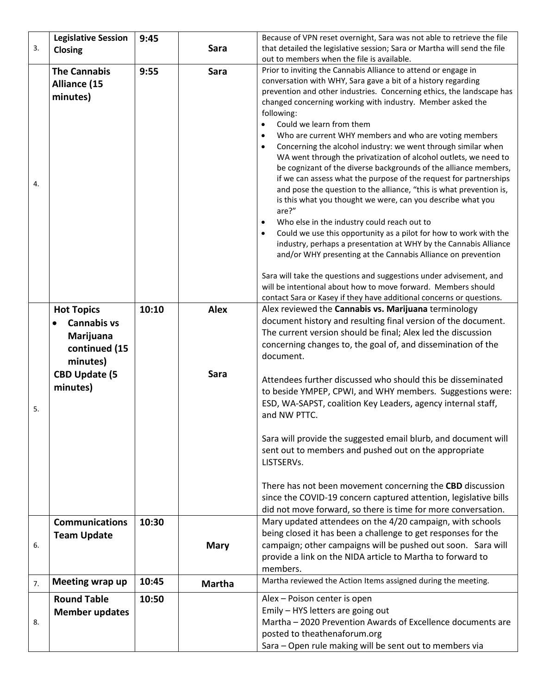|    | <b>Legislative Session</b> | 9:45  |               | Because of VPN reset overnight, Sara was not able to retrieve the file                                                              |  |  |
|----|----------------------------|-------|---------------|-------------------------------------------------------------------------------------------------------------------------------------|--|--|
| 3. | Closing                    |       | Sara          | that detailed the legislative session; Sara or Martha will send the file                                                            |  |  |
|    |                            |       |               | out to members when the file is available.                                                                                          |  |  |
|    | <b>The Cannabis</b>        | 9:55  | <b>Sara</b>   | Prior to inviting the Cannabis Alliance to attend or engage in                                                                      |  |  |
|    | Alliance (15               |       |               | conversation with WHY, Sara gave a bit of a history regarding                                                                       |  |  |
|    | minutes)                   |       |               | prevention and other industries. Concerning ethics, the landscape has<br>changed concerning working with industry. Member asked the |  |  |
|    |                            |       |               | following:                                                                                                                          |  |  |
|    |                            |       |               | $\bullet$<br>Could we learn from them                                                                                               |  |  |
|    |                            |       |               | Who are current WHY members and who are voting members<br>$\bullet$                                                                 |  |  |
|    |                            |       |               | Concerning the alcohol industry: we went through similar when<br>$\bullet$                                                          |  |  |
|    |                            |       |               | WA went through the privatization of alcohol outlets, we need to                                                                    |  |  |
|    |                            |       |               | be cognizant of the diverse backgrounds of the alliance members,                                                                    |  |  |
| 4. |                            |       |               | if we can assess what the purpose of the request for partnerships                                                                   |  |  |
|    |                            |       |               | and pose the question to the alliance, "this is what prevention is,<br>is this what you thought we were, can you describe what you  |  |  |
|    |                            |       |               | are?"                                                                                                                               |  |  |
|    |                            |       |               | Who else in the industry could reach out to                                                                                         |  |  |
|    |                            |       |               | Could we use this opportunity as a pilot for how to work with the                                                                   |  |  |
|    |                            |       |               | industry, perhaps a presentation at WHY by the Cannabis Alliance                                                                    |  |  |
|    |                            |       |               | and/or WHY presenting at the Cannabis Alliance on prevention                                                                        |  |  |
|    |                            |       |               | Sara will take the questions and suggestions under advisement, and                                                                  |  |  |
|    |                            |       |               | will be intentional about how to move forward. Members should                                                                       |  |  |
|    |                            |       |               | contact Sara or Kasey if they have additional concerns or questions.                                                                |  |  |
|    | <b>Hot Topics</b>          | 10:10 | <b>Alex</b>   | Alex reviewed the Cannabis vs. Marijuana terminology                                                                                |  |  |
|    | <b>Cannabis vs</b>         |       |               | document history and resulting final version of the document.                                                                       |  |  |
|    | Marijuana                  |       |               | The current version should be final; Alex led the discussion                                                                        |  |  |
|    | continued (15              |       |               | concerning changes to, the goal of, and dissemination of the                                                                        |  |  |
|    | minutes)                   |       |               | document.                                                                                                                           |  |  |
|    | <b>CBD Update (5</b>       |       | Sara          | Attendees further discussed who should this be disseminated                                                                         |  |  |
|    | minutes)                   |       |               | to beside YMPEP, CPWI, and WHY members. Suggestions were:                                                                           |  |  |
|    |                            |       |               | ESD, WA-SAPST, coalition Key Leaders, agency internal staff,                                                                        |  |  |
| 5. |                            |       |               | and NW PTTC.                                                                                                                        |  |  |
|    |                            |       |               |                                                                                                                                     |  |  |
|    |                            |       |               | Sara will provide the suggested email blurb, and document will                                                                      |  |  |
|    |                            |       |               | sent out to members and pushed out on the appropriate                                                                               |  |  |
|    |                            |       |               | LISTSERVs.                                                                                                                          |  |  |
|    |                            |       |               |                                                                                                                                     |  |  |
|    |                            |       |               | There has not been movement concerning the CBD discussion                                                                           |  |  |
|    |                            |       |               | since the COVID-19 concern captured attention, legislative bills<br>did not move forward, so there is time for more conversation.   |  |  |
|    | <b>Communications</b>      | 10:30 |               | Mary updated attendees on the 4/20 campaign, with schools                                                                           |  |  |
|    | <b>Team Update</b>         |       |               | being closed it has been a challenge to get responses for the                                                                       |  |  |
| 6. |                            |       | <b>Mary</b>   | campaign; other campaigns will be pushed out soon. Sara will                                                                        |  |  |
|    |                            |       |               | provide a link on the NIDA article to Martha to forward to                                                                          |  |  |
|    |                            |       |               | members.                                                                                                                            |  |  |
| 7. | Meeting wrap up            | 10:45 | <b>Martha</b> | Martha reviewed the Action Items assigned during the meeting.                                                                       |  |  |
|    | <b>Round Table</b>         | 10:50 |               | Alex - Poison center is open                                                                                                        |  |  |
|    | <b>Member updates</b>      |       |               | Emily - HYS letters are going out                                                                                                   |  |  |
| 8. |                            |       |               | Martha - 2020 Prevention Awards of Excellence documents are                                                                         |  |  |
|    |                            |       |               | posted to theathenaforum.org                                                                                                        |  |  |
|    |                            |       |               | Sara - Open rule making will be sent out to members via                                                                             |  |  |